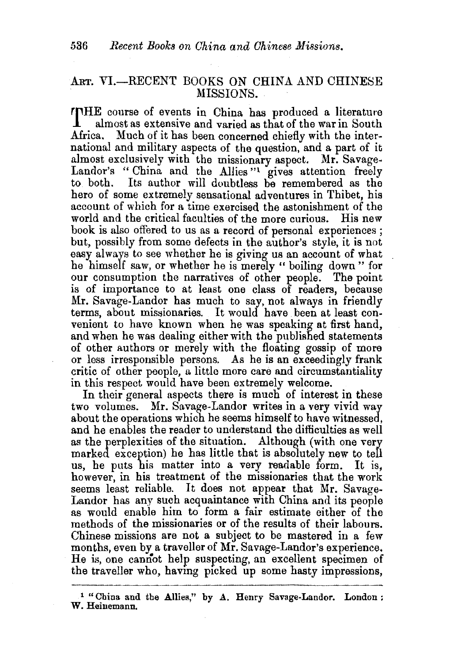## ART. VI.-RECENT BOOKS ON CHINA AND CHINESE MISSIONS.

**rrHE** course of events in China has produced a literatme **1** almost as extensive and varied as that of the war in South Africa. Much of it has been concerned chiefly with the inter-Much of it has been concerned chiefly with the international and military aspects of the question, and a part of it almost exclusively with the missionary aspect. Mr. Savage-Landor's "China and the Allies" gives attention freely to both. Its author will doubtless be remembered as the Its author will doubtless be remembered as the hero of some extremely sensational adventures in Thibet, his account of which for a time exercised the astonishment of the world and the critical faculties of the more curious. His new book is also offered to us as a record of personal experiences ; but, possibly from some defects in the author's style, it is not easy always to see whether he is giving us an account of what he himself saw, or whether he is merely " boiling down" for our consumption the narratives of other people. The point is of importance to at least one class of readers, because Mr. Savage-Landor has much to say, not always in friendly terms, about missionaries. It would have been at least convenient to have known when he was speaking at first hand, and when he was dealing either with the published statements of other authors or merely with the floating gossip of more or less irresponsible persons. As he is an exceedingly frank critic of other people, a little more care and circumstantiality in this respect would have been extremely welcome.

In their general aspects there is much of interest in these two volumes. Mr. Savage-Landor writes in a very vivid way about the operations which he seems himself to have witnessed, and he enables the reader to understand the difficulties as well as the perplexities of the situation. Although (with one very marked exception) he has little that is absolutely new to tell us, he puts his matter into a very readable form. It is, however, in his treatment of the missionaries that the work seems least reliable. It does not appear that Mr. Savage-Landor has any such acquaintance with China and its people as would enable him to form a fair estimate either of the methods of the missionaries or of the results of their labours. Chinese missions are not a subject to be mastered in a few· months, even by a traveller of Mr. Savage-Landor's experience. He is, one camiot help suspecting, an excellent specimen of the traveller who, having picked up some hasty impressions,

 $1$  "China and the Allies," by A. Henry Savage-Landor. London : W. Heinemann.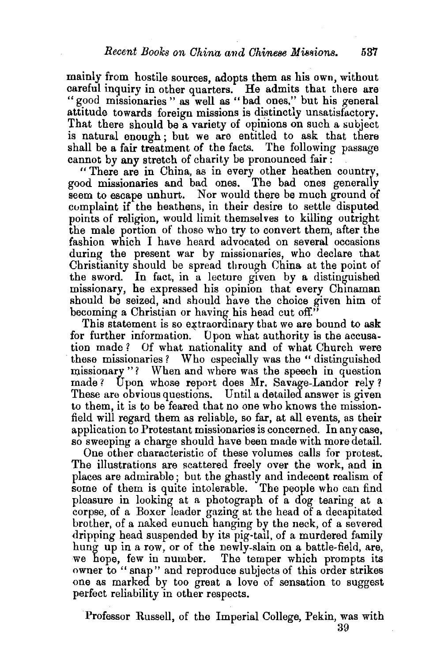mainly from hostile sources, adopts them as his own, without careful inquiry in other quarters. He admits that there are "good missionaries" as well as "bad ones," but his general attitude towards foreign missions is distinctly unsatisfactory. That there should be a variety of opinions on such a subject is natural enough ; but we are entitled to ask that there shall be a fair treatment of the facts. The following passage

cannot by any stretch of charity be pronounced fair:<br>"There are in China, as in every other heathen country,<br>good missionaries and bad ones. The bad ones generally good missionaries and bad ones. seem to escape unhurt. Nor would there be much ground of complaint if the heathens, in their desire to settle disputed points of religion, would limit themselves to killing outright the male portion of those who try to convert them, after the fashion which I have heard advocated on several occasions during the present war by missionaries, who declare that Christianity should be spread through China at the point of the sword. In fact, in a lecture given by a distinguished missionary, he expressed his opinion that every Chinaman should be seized, and should have the choice given him of becoming a Christian or having his head cut off."

This statement is so extraordinary that we are bound to ask for further information. Dpon what authority is the accusation made ? Of what nationality and of what Church were these missionaries? Who especially was the "distinguished" missionary "? When and where was the speech in question made? Upon whose report does Mr. Savage-Landor rely? These are obvious questions. Until a detailed answer is given to them, it is to be feared that no one who knows the missionfield will regard them as reliable, so far, at all events, as their application to Protestant missionaries is concerned. In any case, so sweeping a charge should have been made with more detail.

One other characteristic of these volumes calls for protest. The illustrations are scattered freely over the work, and in places are admirable; but the ghastly and indecent realism of some of them is quite intolerable. The people who can find pleasure in looking at a photograph of a dog tearing at a corpse, of a Boxer leader gazing at the head of a decapitated brother, of a naked eunuch hanging by the neck, of a severed dripping head suspended by its pig-tail, of a murdered family hung up in a row, or of the newly-slain on a battle-field, are, we hope, few in number. The temper which prompts its owner to " snap" and reproduce subjects of this order strikes one as marked by too great a love of sensation to suggest perfect reliability in other respects.

Professor Russell, of the Imperial College, Pekin, was with 39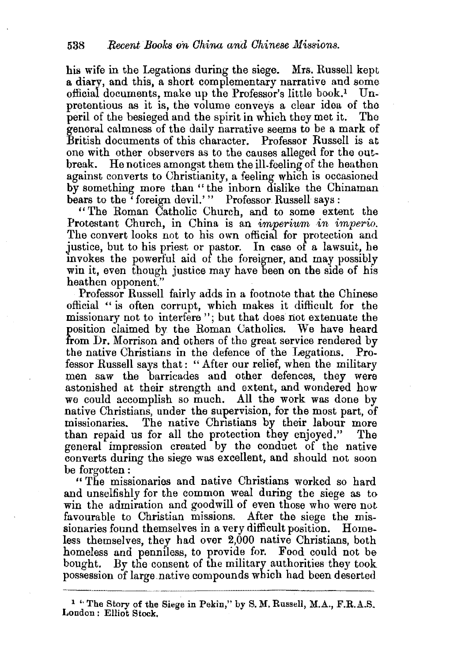his wife in the Legations during the siege. Mrs. Russell kept a diary, and this, a short complementary narrative and some official documents, make up the Professor's little book.<sup>1</sup> Unpretentious as it is, the volume conveys a clear idea of the peril of the besieged and the spirit in which they met it. The general calmness of the daily narrative seems to be a mark of British documents of this character. Professor Russell is at one with other observers as to the causes alleged for the outbreak. He notices amongst them the ill-feeling of the heathen against converts to Christianity, a feeling which is occasioned. by something more than "the inborn dislike the Chinaman bears to the 'foreign devil.'" Professor Russell says:

" The Roman Catholic Church, and to some extent the Protestant Church, in China is an *imperium in imperio.* The convert looks not to his own official for protection and justice, but to his priest or pastor. In case of a lawsuit, he invokes the powerful aid of the foreigner, and may possibly win it, even though justice may have been on the side of his heathen opponent.'

Professor Russell fairly adds in a footnote that the Chinese official "is often corrupt, which makes it difficult for the missionary not to interfere"; but that does not extenuate the position claimed by the Roman Catholics. We have heard from Dr. Morrison and others of the great service rendered by the native Christians in the defence of the Legations. Professor Russell says that: "After our relief, when the military men saw the barricades and other defences, they were astonished at their strength and extent, and wondered how we could accomplish so much. All the work was done by native Christians, under the supervision, for the most part, of missionaries. The native Christians by their labour more than repaid us for all the protection they enjoyed." The general impression created by the conduct of the native converts during the siege was excellent, and should not soon be forgotten :

" The missionaries and native Christians worked so hard and unselfishly for the common weal during the siege as to win the admiration and goodwill of even those who were not favourable to Christian missions. After the siege the missionaries found themselves in a very difficult position. Homeless themselves, they had over 2,000 native Christians, both homeless and penniless, to provide for. Food could not be bought. By the consent of the military authorities they took possession of large native compounds which had been deserted

 $1$  <sup>1</sup> The Story of the Siege in Pekin," by S. M. Russell, M.A., F.R.A.S. London: Elliot Stock.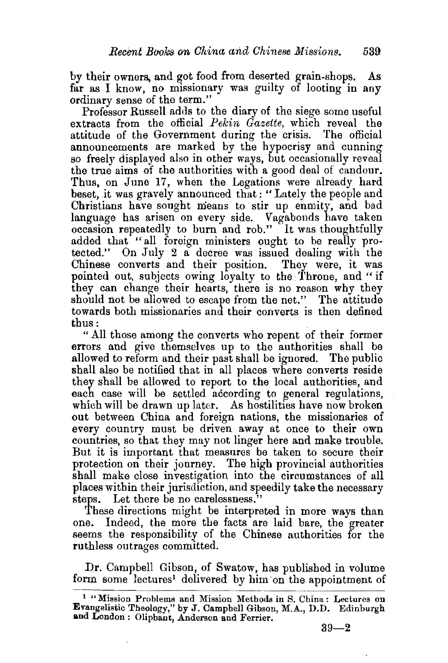by their owners, and got food from deserted grain-shops. As far as I know, no missionary was guilty of looting in any ordinary sense of the term."

Professor Russell adds to the diary of the siege some useful extracts from the official *Pekin Gazette,* which reveal the attitude of the Government during the crisis. The official announcements are marked by the hypocrisy and cunning so freely displayed also in other ways, but occasionally reveal the true aims of the authorities with a good deal of candour. Thus, on June 17, when the Legations were already hard beset, it was gravely announced that: "Lately the people and Christians have sought means to stir up enmity, and bad language has arisen on every side. Vagabonds have taken occasion repeatedly to burn and rob." It was thoughtfully added that "all foreign ministers ought to be really protected." On July  $2$  a decree was issued dealing with the Chinese converts and their position. They were, it was pointed out, subjects owing loyalty to the Throne, and "if they can change their hearts, there is no reason why they should not be allowed to escape from the net." The attitude towards both missionaries and their converts is then defined thus:

"All those among the converts who repent of their former errors and give themselves up to the authorities shall be allowed to reform and their past shall be ignored. The public shall also be notified that in all places where converts reside they shall be allowed to report to the local authorities, and each case will be settled according to general regulations, which will be drawn up later. As hostilities have now broken out between China and foreign nations, the missionaries of every country must be driven away at once to their own countries, so that they may not linger here and make trouble. But it is important that measures be taken to secure their protection on their journey. The high provincial authorities shall make close investigation into the circumstances of all places within their jurisdiction, and speedily take the necessary steps. Let there be no carelessness."

'fhese directions might be interpreted in more ways than one. Indeed, the more the facts are laid bare, the greater seems the responsibility of the Chinese authorities for the ruthless outrages committed.

Dr. Campbell Gibson, of Swatow, has published in volume form some lectures<sup>1</sup> delivered by him on the appointment of

 $39 - 2$ 

<sup>1 &</sup>quot;Mission Problems and Mission Methods in S. China : Lectures on Evangelistic Theology," by J. Campbell Gibson, M.A., D.D. Edinburgh and London: Oliphant, Anderson and Ferrier.